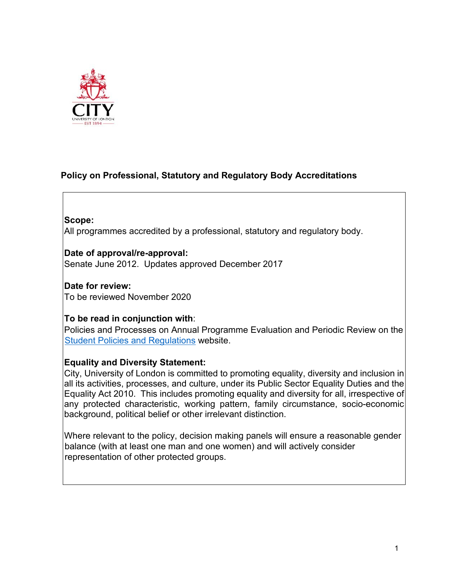

# **Policy on Professional, Statutory and Regulatory Body Accreditations**

### **Scope:**

All programmes accredited by a professional, statutory and regulatory body.

**Date of approval/re-approval:**  Senate June 2012. Updates approved December 2017

**Date for review:**  To be reviewed November 2020

### **To be read in conjunction with**:

Policies and Processes on Annual Programme Evaluation and Periodic Review on the [Student Policies and Regulations](https://www.city.ac.uk/about/governance/student-policies-and-regulations) website.

### **Equality and Diversity Statement:**

City, University of London is committed to promoting equality, diversity and inclusion in all its activities, processes, and culture, under its Public Sector Equality Duties and the Equality Act 2010. This includes promoting equality and diversity for all, irrespective of any protected characteristic, working pattern, family circumstance, socio-economic background, political belief or other irrelevant distinction.

Where relevant to the policy, decision making panels will ensure a reasonable gender balance (with at least one man and one women) and will actively consider representation of other protected groups.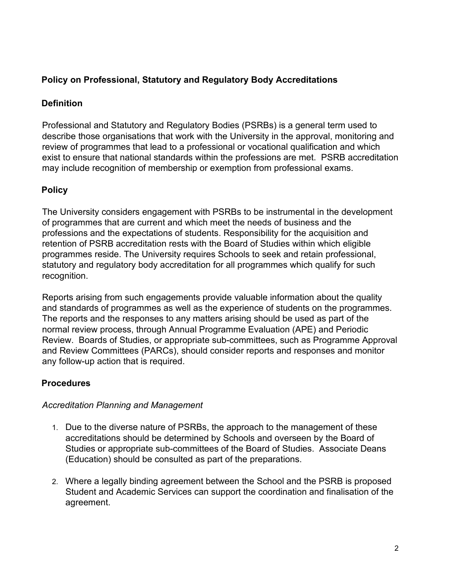## **Policy on Professional, Statutory and Regulatory Body Accreditations**

### **Definition**

Professional and Statutory and Regulatory Bodies (PSRBs) is a general term used to describe those organisations that work with the University in the approval, monitoring and review of programmes that lead to a professional or vocational qualification and which exist to ensure that national standards within the professions are met. PSRB accreditation may include recognition of membership or exemption from professional exams.

### **Policy**

The University considers engagement with PSRBs to be instrumental in the development of programmes that are current and which meet the needs of business and the professions and the expectations of students. Responsibility for the acquisition and retention of PSRB accreditation rests with the Board of Studies within which eligible programmes reside. The University requires Schools to seek and retain professional, statutory and regulatory body accreditation for all programmes which qualify for such recognition.

Reports arising from such engagements provide valuable information about the quality and standards of programmes as well as the experience of students on the programmes. The reports and the responses to any matters arising should be used as part of the normal review process, through Annual Programme Evaluation (APE) and Periodic Review. Boards of Studies, or appropriate sub-committees, such as Programme Approval and Review Committees (PARCs), should consider reports and responses and monitor any follow-up action that is required.

### **Procedures**

### *Accreditation Planning and Management*

- 1. Due to the diverse nature of PSRBs, the approach to the management of these accreditations should be determined by Schools and overseen by the Board of Studies or appropriate sub-committees of the Board of Studies. Associate Deans (Education) should be consulted as part of the preparations.
- 2. Where a legally binding agreement between the School and the PSRB is proposed Student and Academic Services can support the coordination and finalisation of the agreement.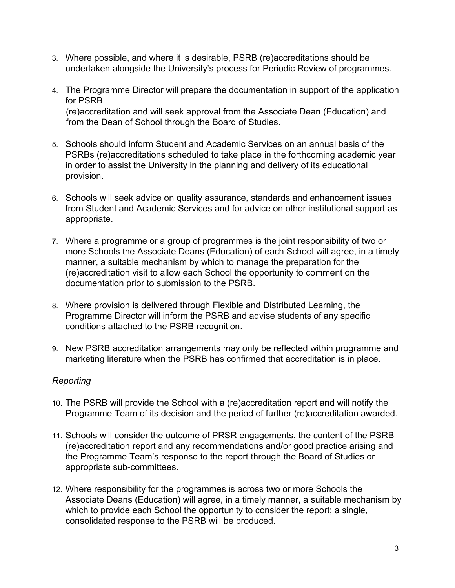- 3. Where possible, and where it is desirable, PSRB (re)accreditations should be undertaken alongside the University's process for Periodic Review of programmes.
- 4. The Programme Director will prepare the documentation in support of the application for PSRB (re)accreditation and will seek approval from the Associate Dean (Education) and from the Dean of School through the Board of Studies.
- 5. Schools should inform Student and Academic Services on an annual basis of the PSRBs (re)accreditations scheduled to take place in the forthcoming academic year in order to assist the University in the planning and delivery of its educational provision.
- 6. Schools will seek advice on quality assurance, standards and enhancement issues from Student and Academic Services and for advice on other institutional support as appropriate.
- 7. Where a programme or a group of programmes is the joint responsibility of two or more Schools the Associate Deans (Education) of each School will agree, in a timely manner, a suitable mechanism by which to manage the preparation for the (re)accreditation visit to allow each School the opportunity to comment on the documentation prior to submission to the PSRB.
- 8. Where provision is delivered through Flexible and Distributed Learning, the Programme Director will inform the PSRB and advise students of any specific conditions attached to the PSRB recognition.
- 9. New PSRB accreditation arrangements may only be reflected within programme and marketing literature when the PSRB has confirmed that accreditation is in place.

### *Reporting*

- 10. The PSRB will provide the School with a (re)accreditation report and will notify the Programme Team of its decision and the period of further (re)accreditation awarded.
- 11. Schools will consider the outcome of PRSR engagements, the content of the PSRB (re)accreditation report and any recommendations and/or good practice arising and the Programme Team's response to the report through the Board of Studies or appropriate sub-committees.
- 12. Where responsibility for the programmes is across two or more Schools the Associate Deans (Education) will agree, in a timely manner, a suitable mechanism by which to provide each School the opportunity to consider the report; a single, consolidated response to the PSRB will be produced.